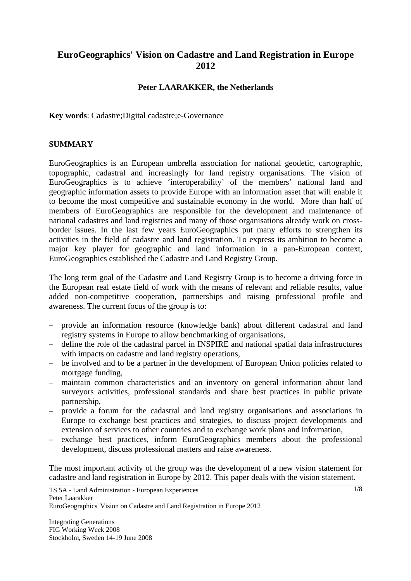# **EuroGeographics' Vision on Cadastre and Land Registration in Europe 2012**

## **Peter LAARAKKER, the Netherlands**

**Key words**: Cadastre;Digital cadastre;e-Governance

#### **SUMMARY**

EuroGeographics is an European umbrella association for national geodetic, cartographic, topographic, cadastral and increasingly for land registry organisations. The vision of EuroGeographics is to achieve 'interoperability' of the members' national land and geographic information assets to provide Europe with an information asset that will enable it to become the most competitive and sustainable economy in the world. More than half of members of EuroGeographics are responsible for the development and maintenance of national cadastres and land registries and many of those organisations already work on crossborder issues. In the last few years EuroGeographics put many efforts to strengthen its activities in the field of cadastre and land registration. To express its ambition to become a major key player for geographic and land information in a pan-European context, EuroGeographics established the Cadastre and Land Registry Group.

The long term goal of the Cadastre and Land Registry Group is to become a driving force in the European real estate field of work with the means of relevant and reliable results, value added non-competitive cooperation, partnerships and raising professional profile and awareness. The current focus of the group is to:

- provide an information resource (knowledge bank) about different cadastral and land registry systems in Europe to allow benchmarking of organisations,
- define the role of the cadastral parcel in INSPIRE and national spatial data infrastructures with impacts on cadastre and land registry operations,
- be involved and to be a partner in the development of European Union policies related to mortgage funding,
- maintain common characteristics and an inventory on general information about land surveyors activities, professional standards and share best practices in public private partnership,
- provide a forum for the cadastral and land registry organisations and associations in Europe to exchange best practices and strategies, to discuss project developments and extension of services to other countries and to exchange work plans and information,
- exchange best practices, inform EuroGeographics members about the professional development, discuss professional matters and raise awareness.

The most important activity of the group was the development of a new vision statement for cadastre and land registration in Europe by 2012. This paper deals with the vision statement.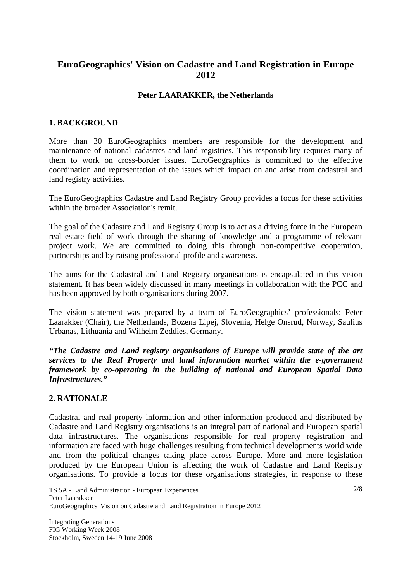# **EuroGeographics' Vision on Cadastre and Land Registration in Europe 2012**

## **Peter LAARAKKER, the Netherlands**

#### **1. BACKGROUND**

More than 30 EuroGeographics members are responsible for the development and maintenance of national cadastres and land registries. This responsibility requires many of them to work on cross-border issues. EuroGeographics is committed to the effective coordination and representation of the issues which impact on and arise from cadastral and land registry activities.

The EuroGeographics Cadastre and Land Registry Group provides a focus for these activities within the broader Association's remit.

The goal of the Cadastre and Land Registry Group is to act as a driving force in the European real estate field of work through the sharing of knowledge and a programme of relevant project work. We are committed to doing this through non-competitive cooperation, partnerships and by raising professional profile and awareness.

The aims for the Cadastral and Land Registry organisations is encapsulated in this vision statement. It has been widely discussed in many meetings in collaboration with the PCC and has been approved by both organisations during 2007.

The vision statement was prepared by a team of EuroGeographics' professionals: Peter Laarakker (Chair), the Netherlands, Bozena Lipej, Slovenia, Helge Onsrud, Norway, Saulius Urbanas, Lithuania and Wilhelm Zeddies, Germany.

*"The Cadastre and Land registry organisations of Europe will provide state of the art services to the Real Property and land information market within the e-government framework by co-operating in the building of national and European Spatial Data Infrastructures."* 

#### **2. RATIONALE**

Cadastral and real property information and other information produced and distributed by Cadastre and Land Registry organisations is an integral part of national and European spatial data infrastructures. The organisations responsible for real property registration and information are faced with huge challenges resulting from technical developments world wide and from the political changes taking place across Europe. More and more legislation produced by the European Union is affecting the work of Cadastre and Land Registry organisations. To provide a focus for these organisations strategies, in response to these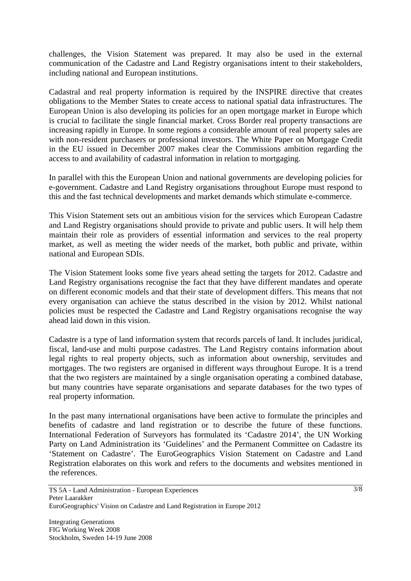challenges, the Vision Statement was prepared. It may also be used in the external communication of the Cadastre and Land Registry organisations intent to their stakeholders, including national and European institutions.

Cadastral and real property information is required by the INSPIRE directive that creates obligations to the Member States to create access to national spatial data infrastructures. The European Union is also developing its policies for an open mortgage market in Europe which is crucial to facilitate the single financial market. Cross Border real property transactions are increasing rapidly in Europe. In some regions a considerable amount of real property sales are with non-resident purchasers or professional investors. The White Paper on Mortgage Credit in the EU issued in December 2007 makes clear the Commissions ambition regarding the access to and availability of cadastral information in relation to mortgaging.

In parallel with this the European Union and national governments are developing policies for e-government. Cadastre and Land Registry organisations throughout Europe must respond to this and the fast technical developments and market demands which stimulate e-commerce.

This Vision Statement sets out an ambitious vision for the services which European Cadastre and Land Registry organisations should provide to private and public users. It will help them maintain their role as providers of essential information and services to the real property market, as well as meeting the wider needs of the market, both public and private, within national and European SDIs.

The Vision Statement looks some five years ahead setting the targets for 2012. Cadastre and Land Registry organisations recognise the fact that they have different mandates and operate on different economic models and that their state of development differs. This means that not every organisation can achieve the status described in the vision by 2012. Whilst national policies must be respected the Cadastre and Land Registry organisations recognise the way ahead laid down in this vision.

Cadastre is a type of land information system that records parcels of land. It includes juridical, fiscal, land-use and multi purpose cadastres. The Land Registry contains information about legal rights to real property objects, such as information about ownership, servitudes and mortgages. The two registers are organised in different ways throughout Europe. It is a trend that the two registers are maintained by a single organisation operating a combined database, but many countries have separate organisations and separate databases for the two types of real property information.

In the past many international organisations have been active to formulate the principles and benefits of cadastre and land registration or to describe the future of these functions. International Federation of Surveyors has formulated its 'Cadastre 2014', the UN Working Party on Land Administration its 'Guidelines' and the Permanent Committee on Cadastre its 'Statement on Cadastre'. The EuroGeographics Vision Statement on Cadastre and Land Registration elaborates on this work and refers to the documents and websites mentioned in the references.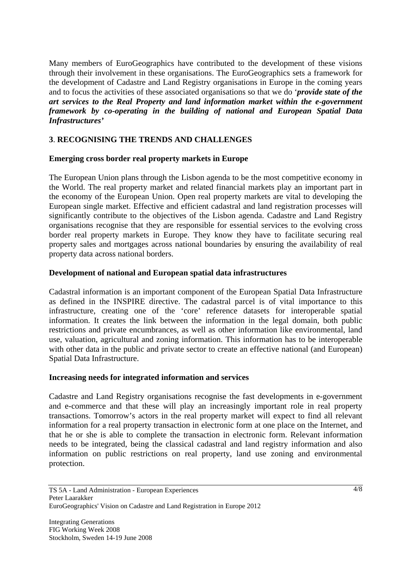Many members of EuroGeographics have contributed to the development of these visions through their involvement in these organisations. The EuroGeographics sets a framework for the development of Cadastre and Land Registry organisations in Europe in the coming years and to focus the activities of these associated organisations so that we do '*provide state of the art services to the Real Property and land information market within the e-government framework by co-operating in the building of national and European Spatial Data Infrastructures'* 

## **3**. **RECOGNISING THE TRENDS AND CHALLENGES**

#### **Emerging cross border real property markets in Europe**

The European Union plans through the Lisbon agenda to be the most competitive economy in the World. The real property market and related financial markets play an important part in the economy of the European Union. Open real property markets are vital to developing the European single market. Effective and efficient cadastral and land registration processes will significantly contribute to the objectives of the Lisbon agenda. Cadastre and Land Registry organisations recognise that they are responsible for essential services to the evolving cross border real property markets in Europe. They know they have to facilitate securing real property sales and mortgages across national boundaries by ensuring the availability of real property data across national borders.

#### **Development of national and European spatial data infrastructures**

Cadastral information is an important component of the European Spatial Data Infrastructure as defined in the INSPIRE directive. The cadastral parcel is of vital importance to this infrastructure, creating one of the 'core' reference datasets for interoperable spatial information. It creates the link between the information in the legal domain, both public restrictions and private encumbrances, as well as other information like environmental, land use, valuation, agricultural and zoning information. This information has to be interoperable with other data in the public and private sector to create an effective national (and European) Spatial Data Infrastructure.

## **Increasing needs for integrated information and services**

Cadastre and Land Registry organisations recognise the fast developments in e-government and e-commerce and that these will play an increasingly important role in real property transactions. Tomorrow's actors in the real property market will expect to find all relevant information for a real property transaction in electronic form at one place on the Internet, and that he or she is able to complete the transaction in electronic form. Relevant information needs to be integrated, being the classical cadastral and land registry information and also information on public restrictions on real property, land use zoning and environmental protection.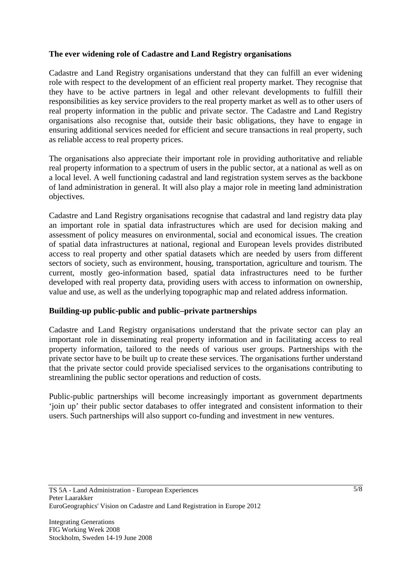## **The ever widening role of Cadastre and Land Registry organisations**

Cadastre and Land Registry organisations understand that they can fulfill an ever widening role with respect to the development of an efficient real property market. They recognise that they have to be active partners in legal and other relevant developments to fulfill their responsibilities as key service providers to the real property market as well as to other users of real property information in the public and private sector. The Cadastre and Land Registry organisations also recognise that, outside their basic obligations, they have to engage in ensuring additional services needed for efficient and secure transactions in real property, such as reliable access to real property prices.

The organisations also appreciate their important role in providing authoritative and reliable real property information to a spectrum of users in the public sector, at a national as well as on a local level. A well functioning cadastral and land registration system serves as the backbone of land administration in general. It will also play a major role in meeting land administration objectives.

Cadastre and Land Registry organisations recognise that cadastral and land registry data play an important role in spatial data infrastructures which are used for decision making and assessment of policy measures on environmental, social and economical issues. The creation of spatial data infrastructures at national, regional and European levels provides distributed access to real property and other spatial datasets which are needed by users from different sectors of society, such as environment, housing, transportation, agriculture and tourism. The current, mostly geo-information based, spatial data infrastructures need to be further developed with real property data, providing users with access to information on ownership, value and use, as well as the underlying topographic map and related address information.

## **Building-up public-public and public–private partnerships**

Cadastre and Land Registry organisations understand that the private sector can play an important role in disseminating real property information and in facilitating access to real property information, tailored to the needs of various user groups. Partnerships with the private sector have to be built up to create these services. The organisations further understand that the private sector could provide specialised services to the organisations contributing to streamlining the public sector operations and reduction of costs.

Public-public partnerships will become increasingly important as government departments 'join up' their public sector databases to offer integrated and consistent information to their users. Such partnerships will also support co-funding and investment in new ventures.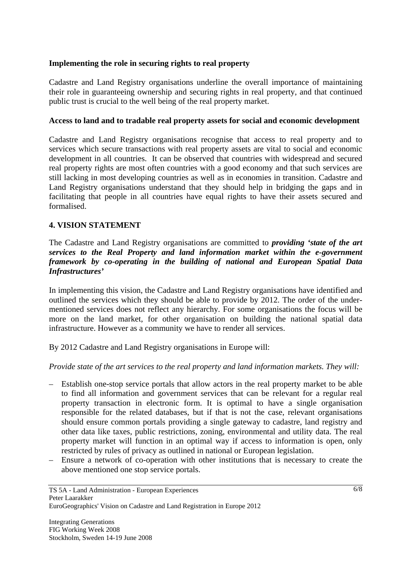## **Implementing the role in securing rights to real property**

Cadastre and Land Registry organisations underline the overall importance of maintaining their role in guaranteeing ownership and securing rights in real property, and that continued public trust is crucial to the well being of the real property market.

## **Access to land and to tradable real property assets for social and economic development**

Cadastre and Land Registry organisations recognise that access to real property and to services which secure transactions with real property assets are vital to social and economic development in all countries. It can be observed that countries with widespread and secured real property rights are most often countries with a good economy and that such services are still lacking in most developing countries as well as in economies in transition. Cadastre and Land Registry organisations understand that they should help in bridging the gaps and in facilitating that people in all countries have equal rights to have their assets secured and formalised.

## **4. VISION STATEMENT**

The Cadastre and Land Registry organisations are committed to *providing 'state of the art services to the Real Property and land information market within the e-government framework by co-operating in the building of national and European Spatial Data Infrastructures'* 

In implementing this vision, the Cadastre and Land Registry organisations have identified and outlined the services which they should be able to provide by 2012. The order of the undermentioned services does not reflect any hierarchy. For some organisations the focus will be more on the land market, for other organisation on building the national spatial data infrastructure. However as a community we have to render all services.

By 2012 Cadastre and Land Registry organisations in Europe will:

*Provide state of the art services to the real property and land information markets. They will:* 

- Establish one-stop service portals that allow actors in the real property market to be able to find all information and government services that can be relevant for a regular real property transaction in electronic form. It is optimal to have a single organisation responsible for the related databases, but if that is not the case, relevant organisations should ensure common portals providing a single gateway to cadastre, land registry and other data like taxes, public restrictions, zoning, environmental and utility data. The real property market will function in an optimal way if access to information is open, only restricted by rules of privacy as outlined in national or European legislation.
- Ensure a network of co-operation with other institutions that is necessary to create the above mentioned one stop service portals.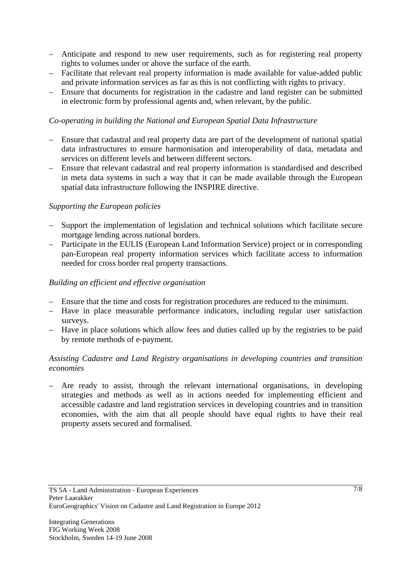- Anticipate and respond to new user requirements, such as for registering real property rights to volumes under or above the surface of the earth.
- Facilitate that relevant real property information is made available for value-added public and private information services as far as this is not conflicting with rights to privacy.
- Ensure that documents for registration in the cadastre and land register can be submitted in electronic form by professional agents and, when relevant, by the public.

## *Co-operating in building the National and European Spatial Data Infrastructure*

- Ensure that cadastral and real property data are part of the development of national spatial data infrastructures to ensure harmonisation and interoperability of data, metadata and services on different levels and between different sectors.
- Ensure that relevant cadastral and real property information is standardised and described in meta data systems in such a way that it can be made available through the European spatial data infrastructure following the INSPIRE directive.

## *Supporting the European policies*

- Support the implementation of legislation and technical solutions which facilitate secure mortgage lending across national borders.
- Participate in the EULIS (European Land Information Service) project or in corresponding pan-European real property information services which facilitate access to information needed for cross border real property transactions.

## *Building an efficient and effective organisation*

- Ensure that the time and costs for registration procedures are reduced to the minimum.
- Have in place measurable performance indicators, including regular user satisfaction surveys.
- Have in place solutions which allow fees and duties called up by the registries to be paid by remote methods of e-payment.

## *Assisting Cadastre and Land Registry organisations in developing countries and transition economies*

– Are ready to assist, through the relevant international organisations, in developing strategies and methods as well as in actions needed for implementing efficient and accessible cadastre and land registration services in developing countries and in transition economies, with the aim that all people should have equal rights to have their real property assets secured and formalised.